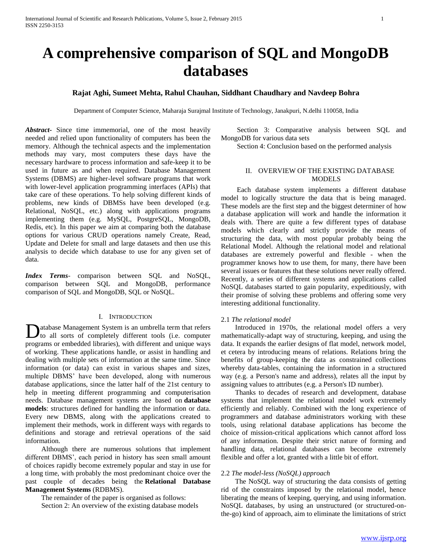# **A comprehensive comparison of SQL and MongoDB databases**

# **Rajat Aghi, Sumeet Mehta, Rahul Chauhan, Siddhant Chaudhary and Navdeep Bohra**

Department of Computer Science, Maharaja Surajmal Institute of Technology, Janakpuri, N.delhi 110058, India

*Abstract***-** Since time immemorial, one of the most heavily needed and relied upon functionality of computers has been the memory. Although the technical aspects and the implementation methods may vary, most computers these days have the necessary hardware to process information and safe-keep it to be used in future as and when required. Database Management Systems (DBMS) are higher-level software programs that work with lower-level application programming interfaces (APIs) that take care of these operations. To help solving different kinds of problems, new kinds of DBMSs have been developed (e.g. Relational, NoSQL, etc.) along with applications programs implementing them (e.g. MySQL, PostgreSQL, MongoDB, Redis, etc). In this paper we aim at comparing both the database options for various CRUD operations namely Create, Read, Update and Delete for small and large datasets and then use this analysis to decide which database to use for any given set of data.

*Index Terms*- comparison between SQL and NoSQL, comparison between SQL and MongoDB, performance comparison of SQL and MongoDB, SQL or NoSQL.

## I. INTRODUCTION

atabase Management System is an umbrella term that refers Database Management System is an umbrella term that refers tools (i.e. computer of completely different tools (i.e. computer programs or embedded libraries), with different and unique ways of working. These applications handle, or assist in handling and dealing with multiple sets of information at the same time. Since information (or data) can exist in various shapes and sizes, multiple DBMS' have been developed, along with numerous database applications, since the latter half of the 21st century to help in meeting different programming and computerisation needs. Database management systems are based on **database models**: structures defined for handling the information or data. Every new DBMS, along with the applications created to implement their methods, work in different ways with regards to definitions and storage and retrieval operations of the said information.

 Although there are numerous solutions that implement different DBMS', each period in history has seen small amount of choices rapidly become extremely popular and stay in use for a long time, with probably the most predominant choice over the past couple of decades being the **Relational Database Management Systems** (RDBMS).

 The remainder of the paper is organised as follows: Section 2: An overview of the existing database models

 Section 3: Comparative analysis between SQL and MongoDB for various data sets

Section 4: Conclusion based on the performed analysis

## II. OVERVIEW OF THE EXISTING DATABASE **MODELS**

 Each database system implements a different database model to logically structure the data that is being managed. These models are the first step and the biggest determiner of how a database application will work and handle the information it deals with. There are quite a few different types of database models which clearly and strictly provide the means of structuring the data, with most popular probably being the Relational Model. Although the relational model and relational databases are extremely powerful and flexible - when the programmer knows how to use them, for many, there have been several issues or features that these solutions never really offered. Recently, a series of different systems and applications called NoSQL databases started to gain popularity, expeditiously, with their promise of solving these problems and offering some very interesting additional functionality.

#### 2.1 *The relational model*

 Introduced in 1970s, the relational model offers a very mathematically-adapt way of structuring, keeping, and using the data. It expands the earlier designs of flat model, network model, et cetera by introducing means of relations. Relations bring the benefits of group-keeping the data as constrained collections whereby data-tables, containing the information in a structured way (e.g. a Person's name and address), relates all the input by assigning values to attributes (e.g. a Person's ID number).

 Thanks to decades of research and development, database systems that implement the relational model work extremely efficiently and reliably. Combined with the long experience of programmers and database administrators working with these tools, using relational database applications has become the choice of mission-critical applications which cannot afford loss of any information. Despite their strict nature of forming and handling data, relational databases can become extremely flexible and offer a lot, granted with a little bit of effort.

## 2.2 *The model-less (NoSQL) approach*

 The NoSQL way of structuring the data consists of getting rid of the constraints imposed by the relational model, hence liberating the means of keeping, querying, and using information. NoSQL databases, by using an unstructured (or structured-onthe-go) kind of approach, aim to eliminate the limitations of strict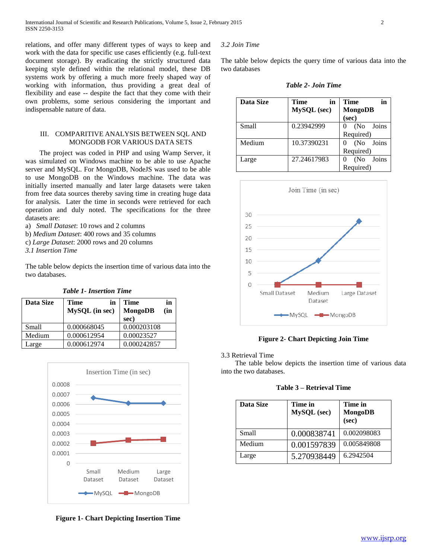relations, and offer many different types of ways to keep and work with the data for specific use cases efficiently (e.g. full-text document storage). By eradicating the strictly structured data keeping style defined within the relational model, these DB systems work by offering a much more freely shaped way of working with information, thus providing a great deal of flexibility and ease -- despite the fact that they come with their own problems, some serious considering the important and indispensable nature of data.

# III. COMPARITIVE ANALYSIS BETWEEN SQL AND MONGODB FOR VARIOUS DATA SETS

 The project was coded in PHP and using Wamp Server, it was simulated on Windows machine to be able to use Apache server and MySQL. For MongoDB, NodeJS was used to be able to use MongoDB on the Windows machine. The data was initially inserted manually and later large datasets were taken from free data sources thereby saving time in creating huge data for analysis. Later the time in seconds were retrieved for each operation and duly noted. The specifications for the three datasets are:

a) *Small Dataset*: 10 rows and 2 columns

- b) *Medium Dataset*: 400 rows and 35 columns
- c) *Large Dataset*: 2000 rows and 20 columns

*3.1 Insertion Time*

The table below depicts the insertion time of various data into the two databases.

*Table 1- Insertion Time*

| Data Size | Time<br>in<br>MySQL (in sec) | Time<br>in<br><b>MongoDB</b><br>(in<br>sec) |
|-----------|------------------------------|---------------------------------------------|
| Small     | 0.000668045                  | 0.000203108                                 |
| Medium    | 0.000612954                  | 0.00023527                                  |
| Large     | 0.000612974                  | 0.000242857                                 |



**Figure 1- Chart Depicting Insertion Time**

## *3.2 Join Time*

The table below depicts the query time of various data into the two databases

*Table 2- Join Time*

| Data Size | Time<br>in         | Time<br>in   |  |
|-----------|--------------------|--------------|--|
|           | <b>MySQL</b> (sec) | MongoDB      |  |
|           |                    | (sec)        |  |
| Small     | 0.23942999         | (No Joins    |  |
|           |                    | Required)    |  |
| Medium    | 10.37390231        | (No Joins    |  |
|           |                    | Required)    |  |
| Large     | 27.24617983        | Joins<br>(No |  |
|           |                    | Required)    |  |



**Figure 2- Chart Depicting Join Time**

#### 3.3 Retrieval Time

 The table below depicts the insertion time of various data into the two databases.

|  | Table 3 – Retrieval Time |  |
|--|--------------------------|--|
|--|--------------------------|--|

| Data Size | Time in<br><b>MySQL</b> (sec) | Time in<br>MongoDB<br>(sec) |
|-----------|-------------------------------|-----------------------------|
| Small     | 0.000838741                   | 0.002098083                 |
| Medium    | 0.001597839                   | 0.005849808                 |
| Large     | 5.270938449                   | 6.2942504                   |